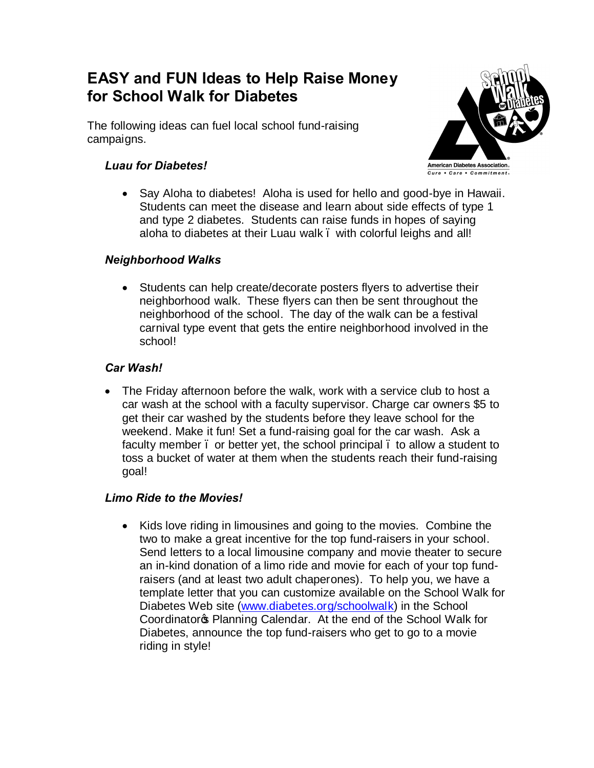# **EASY and FUN Ideas to Help Raise Money for School Walk for Diabetes**

The following ideas can fuel local school fund-raising campaigns.

# *Luau for Diabetes!*



## *Neighborhood Walks*

· Students can help create/decorate posters flyers to advertise their neighborhood walk. These flyers can then be sent throughout the neighborhood of the school. The day of the walk can be a festival carnival type event that gets the entire neighborhood involved in the school!

## *Car Wash!*

• The Friday afternoon before the walk, work with a service club to host a car wash at the school with a faculty supervisor. Charge car owners \$5 to get their car washed by the students before they leave school for the weekend. Make it fun! Set a fund-raising goal for the car wash. Ask a faculty member. or better yet, the school principal. to allow a student to toss a bucket of water at them when the students reach their fund-raising goal!

## *Limo Ride to the Movies!*

· Kids love riding in limousines and going to the movies. Combine the two to make a great incentive for the top fund-raisers in your school. Send letters to a local limousine company and movie theater to secure an in-kind donation of a limo ride and movie for each of your top fundraisers (and at least two adult chaperones). To help you, we have a template letter that you can customize available on the School Walk for Diabetes Web site ([www.diabetes.org/schoolwalk\)](http://www.diabetes.org/schoolwalk) in the School Coordinator<sub>®</sub> Planning Calendar. At the end of the School Walk for Diabetes, announce the top fund-raisers who get to go to a movie riding in style!

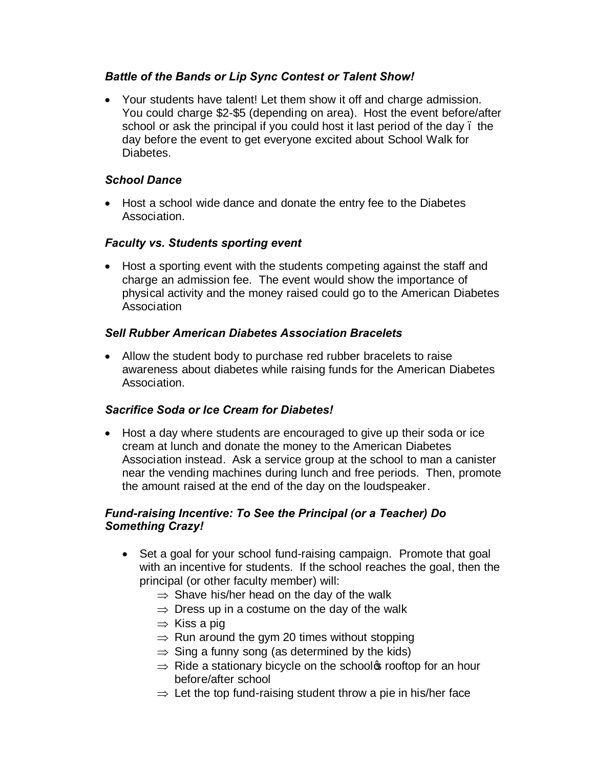## *Battle of the Bands or Lip Sync Contest or Talent Show!*

· Your students have talent! Let them show it off and charge admission. You could charge \$2-\$5 (depending on area). Host the event before/after school or ask the principal if you could host it last period of the day. the day before the event to get everyone excited about School Walk for Diabetes.

#### *School Dance*

· Host a school wide dance and donate the entry fee to the Diabetes Association.

#### *Faculty vs. Students sporting event*

· Host a sporting event with the students competing against the staff and charge an admission fee. The event would show the importance of physical activity and the money raised could go to the American Diabetes Association

#### *Sell Rubber American Diabetes Association Bracelets*

· Allow the student body to purchase red rubber bracelets to raise awareness about diabetes while raising funds for the American Diabetes Association.

## *Sacrifice Soda or Ice Cream for Diabetes!*

· Host a day where students are encouraged to give up their soda or ice cream at lunch and donate the money to the American Diabetes Association instead. Ask a service group at the school to man a canister near the vending machines during lunch and free periods. Then, promote the amount raised at the end of the day on the loudspeaker.

#### *Fund-raising Incentive: To See the Principal (or a Teacher) Do Something Crazy!*

- Set a goal for your school fund-raising campaign. Promote that goal with an incentive for students. If the school reaches the goal, then the principal (or other faculty member) will:
	- $\Rightarrow$  Shave his/her head on the day of the walk
	- $\Rightarrow$  Dress up in a costume on the day of the walk
	- $\Rightarrow$  Kiss a pig
	- $\Rightarrow$  Run around the gym 20 times without stopping
	- $\Rightarrow$  Sing a funny song (as determined by the kids)
	- $\Rightarrow$  Ride a stationary bicycle on the school s rooftop for an hour before/after school
	- $\Rightarrow$  Let the top fund-raising student throw a pie in his/her face